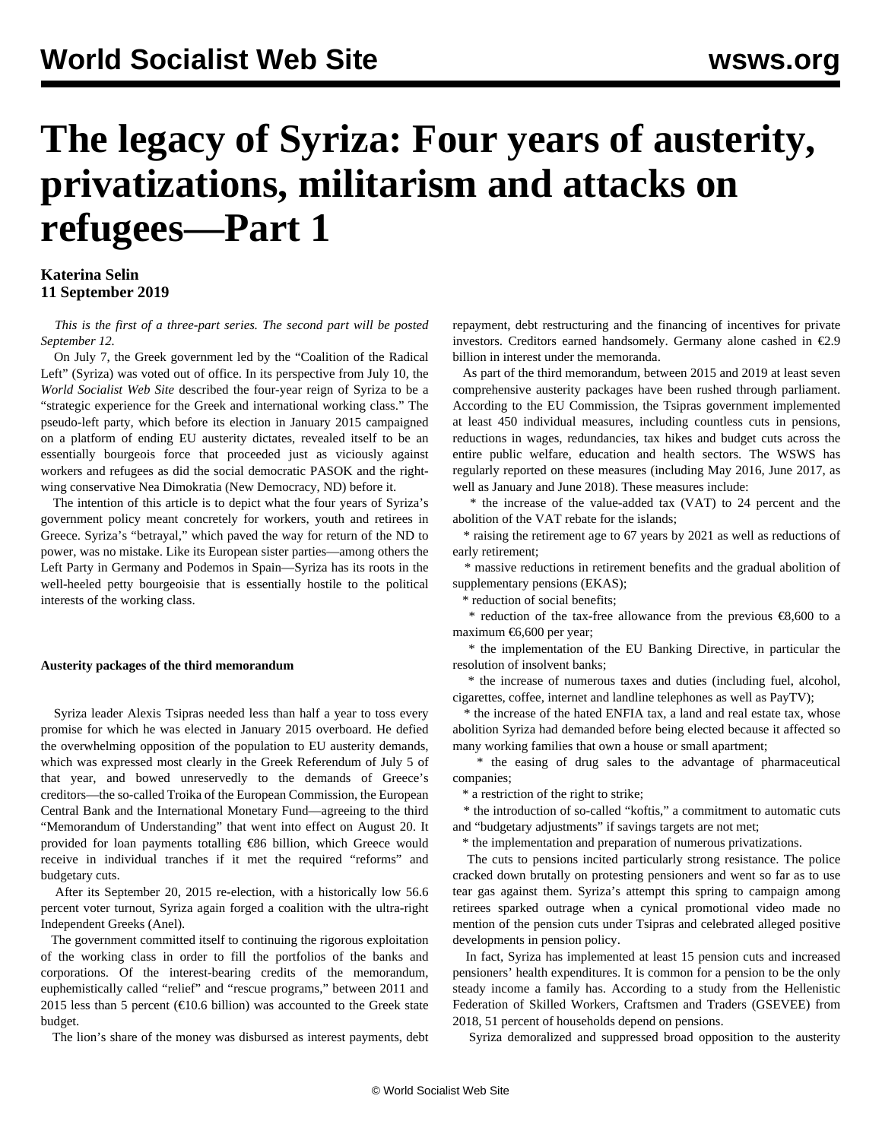# **The legacy of Syriza: Four years of austerity, privatizations, militarism and attacks on refugees—Part 1**

## **Katerina Selin 11 September 2019**

 *This is the first of a three-part series. The second part will be posted September 12.*

 On July 7, the Greek government led by the "Coalition of the Radical Left" (Syriza) was voted out of office. In its [perspective](/en/articles/2019/07/09/pers-j09.html) from July 10, the *World Socialist Web Site* described the four-year reign of Syriza to be a "strategic experience for the Greek and international working class." The pseudo-left party, which before its election in January 2015 campaigned on a platform of ending EU austerity dictates, revealed itself to be an essentially bourgeois force that proceeded just as viciously against workers and refugees as did the social democratic PASOK and the rightwing conservative Nea Dimokratia (New Democracy, ND) before it.

 The intention of this article is to depict what the four years of Syriza's government policy meant concretely for workers, youth and retirees in Greece. Syriza's "betrayal," which paved the way for return of the ND to power, was no mistake. Like its European sister parties—among others the Left Party in Germany and Podemos in Spain—Syriza has its roots in the well-heeled petty bourgeoisie that is essentially hostile to the political interests of the working class.

### **Austerity packages of the third memorandum**

 Syriza leader Alexis Tsipras needed less than half a year to toss every promise for which he was elected in January 2015 overboard. He defied the overwhelming opposition of the population to EU austerity demands, which was expressed most clearly in the [Greek Referendum](/en/articles/2018/07/06/pers-j06.html) of July 5 of that year, and bowed unreservedly to the demands of Greece's creditors—the so-called Troika of the European Commission, the European Central Bank and the International Monetary Fund—agreeing to the third "Memorandum of Understanding" that went into effect on August 20. It provided for loan payments totalling €86 billion, which Greece would receive in individual tranches if it met the required "reforms" and budgetary cuts.

 After its September 20, 2015 [re-election,](/en/articles/2015/09/21/gree-s21.html) with a historically low 56.6 percent voter turnout, Syriza again forged a coalition with the ultra-right Independent Greeks (Anel).

 The government committed itself to continuing the rigorous exploitation of the working class in order to fill the portfolios of the banks and corporations. Of the interest-bearing credits of the memorandum, euphemistically called "relief" and "rescue programs," between 2011 and 2015 less than 5 percent ( $\text{\textsterling}10.6$  billion) was accounted to the Greek state budget.

The lion's share of the money was disbursed as interest payments, debt

repayment, debt restructuring and the financing of incentives for private investors. Creditors earned handsomely. Germany alone cashed in €2.9 billion in interest under the memoranda.

 As part of the third memorandum, between 2015 and 2019 at least seven comprehensive austerity packages have been rushed through parliament. According to the EU Commission, the Tsipras government implemented at least 450 individual measures, including countless cuts in pensions, reductions in wages, redundancies, tax hikes and budget cuts across the entire public welfare, education and health sectors. The WSWS has regularly reported on these measures (including [May 2016,](/en/articles/2016/05/23/syriza-m23.html) [June 2017](/en/articles/2017/06/13/gree-j13.html), as well as [January](/en/articles/2018/01/16/gree-j16.html) and [June 2018](/en/articles/2018/06/21/gree-j21.html)). These measures include:

 \* the increase of the value-added tax (VAT) to 24 percent and the abolition of the VAT rebate for the islands;

 \* raising the retirement age to 67 years by 2021 as well as reductions of early retirement;

 \* massive reductions in retirement benefits and the gradual abolition of supplementary pensions (EKAS);

\* reduction of social benefits;

 \* reduction of the tax-free allowance from the previous €8,600 to a maximum €6,600 per year;

 \* the implementation of the EU Banking Directive, in particular the resolution of insolvent banks;

 \* the increase of numerous taxes and duties (including fuel, alcohol, cigarettes, coffee, internet and landline telephones as well as PayTV);

 \* the increase of the hated ENFIA tax, a land and real estate tax, whose abolition Syriza had demanded before being elected because it affected so many working families that own a house or small apartment;

 \* the easing of drug sales to the advantage of pharmaceutical companies;

\* a restriction of the right to strike;

 \* the introduction of so-called "koftis," a commitment to automatic cuts and "budgetary adjustments" if savings targets are not met;

\* the implementation and preparation of numerous privatizations.

 The cuts to pensions incited particularly strong resistance. The police cracked down brutally on [protesting pensioners](/en/articles/2016/10/05/gree-o05.html) and went so far as to use tear gas against them. Syriza's attempt this spring to campaign among retirees sparked outrage when a cynical promotional video made no mention of the pension cuts under Tsipras and celebrated alleged positive developments in pension policy.

 In fact, Syriza has implemented at least 15 pension cuts and increased pensioners' health expenditures. It is common for a pension to be the only steady income a family has. According to a study from the Hellenistic Federation of Skilled Workers, Craftsmen and Traders (GSEVEE) from 2018, 51 percent of households depend on pensions.

Syriza demoralized and suppressed broad opposition to the austerity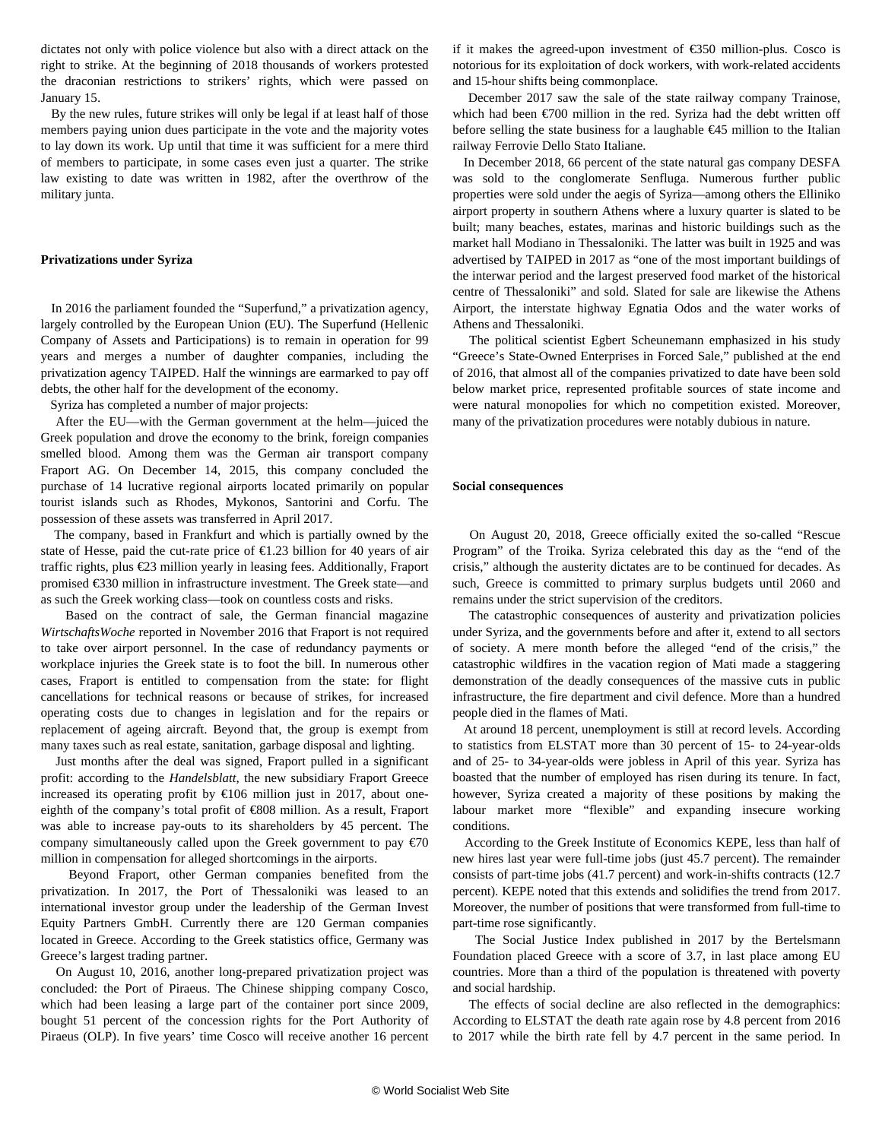dictates not only with police violence but also with a direct attack on the right to strike. At the beginning of 2018 thousands of workers protested the [draconian restrictions](/en/articles/2018/01/13/gree-j13.html) to strikers' rights, which were passed on January 15.

 By the new rules, future strikes will only be legal if at least half of those members paying union dues participate in the vote and the majority votes to lay down its work. Up until that time it was sufficient for a mere third of members to participate, in some cases even just a quarter. The strike law existing to date was written in 1982, after the overthrow of the military junta.

#### **Privatizations under Syriza**

 In 2016 the parliament founded the ["Superfund,](/en/articles/2016/06/17/gree-j17.html)" a privatization agency, largely controlled by the European Union (EU). The Superfund (Hellenic Company of Assets and Participations) is to remain in operation for 99 years and merges a number of daughter companies, including the privatization agency TAIPED. Half the winnings are earmarked to pay off debts, the other half for the development of the economy.

Syriza has completed a number of major projects:

 After the EU—with the German government at the helm—juiced the Greek population and drove the economy to the brink, [foreign companies](/en/articles/2017/07/18/syri-j18.html) [smelled blood.](/en/articles/2017/07/18/syri-j18.html) Among them was the German air transport company Fraport AG. On December 14, 2015, this company concluded the purchase of 14 lucrative regional airports located primarily on popular tourist islands such as Rhodes, Mykonos, Santorini and Corfu. The possession of these assets was transferred in April 2017.

 The company, based in Frankfurt and which is partially owned by the state of Hesse, paid the cut-rate price of  $\epsilon$ 1.23 billion for 40 years of air traffic rights, plus €23 million yearly in leasing fees. Additionally, Fraport promised €330 million in infrastructure investment. The Greek state—and as such the Greek working class—took on countless costs and risks.

 Based on the contract of sale, the German financial magazine *WirtschaftsWoche* reported in November 2016 that Fraport is not required to take over airport personnel. In the case of redundancy payments or workplace injuries the Greek state is to foot the bill. In numerous other cases, Fraport is entitled to compensation from the state: for flight cancellations for technical reasons or because of strikes, for increased operating costs due to changes in legislation and for the repairs or replacement of ageing aircraft. Beyond that, the group is exempt from many taxes such as real estate, sanitation, garbage disposal and lighting.

 Just months after the deal was signed, Fraport pulled in a significant profit: according to the *Handelsblatt*, the new subsidiary Fraport Greece increased its operating profit by  $\epsilon$ 106 million just in 2017, about oneeighth of the company's total profit of €808 million. As a result, Fraport was able to increase pay-outs to its shareholders by 45 percent. The company simultaneously called upon the Greek government to pay  $\epsilon$ 70 million in compensation for alleged shortcomings in the airports.

 Beyond Fraport, other German companies benefited from the privatization. In 2017, the Port of Thessaloniki was leased to an international investor group under the leadership of the German Invest Equity Partners GmbH. Currently there are 120 German companies located in Greece. According to the Greek statistics office, Germany was Greece's largest trading partner.

 On August 10, 2016, another long-prepared privatization project was concluded: the Port of Piraeus. The Chinese shipping company Cosco, which had been leasing a large part of the container port since 2009, [bought](/en/articles/2016/09/02/gree-s02.html) 51 percent of the concession rights for the Port Authority of Piraeus (OLP). In five years' time Cosco will receive another 16 percent if it makes the agreed-upon investment of €350 million-plus. Cosco is notorious for its exploitation of dock workers, with work-related accidents and 15-hour shifts being commonplace.

 December 2017 saw the sale of the state railway company Trainose, which had been €700 million in the red. Syriza had the debt written off before selling the state business for a laughable €45 million to the Italian railway Ferrovie Dello Stato Italiane.

 In December 2018, 66 percent of the state natural gas company DESFA was sold to the conglomerate Senfluga. Numerous further public properties were sold under the aegis of Syriza—among others the Elliniko airport property in southern Athens where a luxury quarter is slated to be built; many beaches, estates, marinas and historic buildings such as the market hall Modiano in Thessaloniki. The latter was built in 1925 and was advertised by TAIPED in 2017 as "one of the most important buildings of the interwar period and the largest preserved food market of the historical centre of Thessaloniki" and sold. Slated for sale are likewise the Athens Airport, the interstate highway Egnatia Odos and the water works of Athens and Thessaloniki.

 The political scientist Egbert Scheunemann emphasized in his study "Greece's State-Owned Enterprises in Forced Sale," published at the end of 2016, that almost all of the companies privatized to date have been sold below market price, represented profitable sources of state income and were natural monopolies for which no competition existed. Moreover, many of the privatization procedures were notably dubious in nature.

#### **Social consequences**

 On August 20, 2018, Greece officially exited the so-called "Rescue Program" of the Troika. Syriza celebrated this day as the "end of the crisis," although the austerity dictates are to be continued for decades. As such, Greece is committed to primary surplus budgets until 2060 and remains under the strict supervision of the creditors.

 The catastrophic consequences of austerity and privatization policies under Syriza, and the governments before and after it, extend to all sectors of society. A mere month before the alleged "end of the crisis," the [catastrophic wildfires](/en/articles/2018/07/28/gree-j28.html) in the vacation region of Mati made a staggering demonstration of the deadly consequences of the massive cuts in public infrastructure, the fire department and civil defence. More than a hundred people died in the flames of Mati.

 At around 18 percent, unemployment is still at record levels. According to statistics from ELSTAT more than 30 percent of 15- to 24-year-olds and of 25- to 34-year-olds were jobless in April of this year. Syriza has boasted that the number of employed has risen during its tenure. In fact, however, Syriza created a majority of these positions by making the labour market more "flexible" and expanding insecure working conditions.

 According to the Greek Institute of Economics KEPE, less than half of new hires last year were full-time jobs (just 45.7 percent). The remainder consists of part-time jobs (41.7 percent) and work-in-shifts contracts (12.7 percent). KEPE noted that this extends and solidifies the trend from 2017. Moreover, the number of positions that were transformed from full-time to part-time rose significantly.

 The Social Justice Index published in 2017 by the Bertelsmann Foundation placed Greece with a score of 3.7, in last place among EU countries. More than a third of the population is threatened with poverty and social hardship.

 The effects of social decline are also reflected in the demographics: According to ELSTAT the death rate again rose by 4.8 percent from 2016 to 2017 while the birth rate fell by 4.7 percent in the same period. In